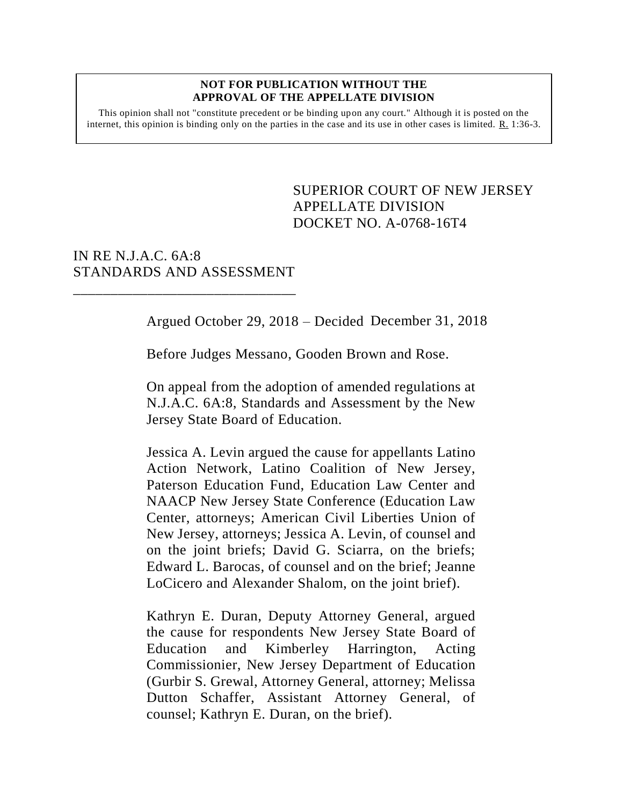#### **NOT FOR PUBLICATION WITHOUT THE APPROVAL OF THE APPELLATE DIVISION**

This opinion shall not "constitute precedent or be binding upon any court." Although it is posted on the internet, this opinion is binding only on the parties in the case and its use in other cases is limited. R. 1:36-3.

> <span id="page-0-0"></span>SUPERIOR COURT OF NEW JERSEY APPELLATE DIVISION DOCKET NO. A-0768-16T4

## IN RE N.J.A.C. 6A:8 STANDARDS AND ASSESSMENT

\_\_\_\_\_\_\_\_\_\_\_\_\_\_\_\_\_\_\_\_\_\_\_\_\_\_\_\_\_\_

Argued October 29, 2018 – Decided December 31, 2018

Before Judges Messano, Gooden Brown and Rose.

On appeal from the adoption of amended regulations at N.J.A.C. 6A:8, Standards and Assessment by the New Jersey State Board of Education.

Jessica A. Levin argued the cause for appellants Latino Action Network, Latino Coalition of New Jersey, Paterson Education Fund, Education Law Center and NAACP New Jersey State Conference (Education Law Center, attorneys; American Civil Liberties Union of New Jersey, attorneys; Jessica A. Levin, of counsel and on the joint briefs; David G. Sciarra, on the briefs; Edward L. Barocas, of counsel and on the brief; Jeanne LoCicero and Alexander Shalom, on the joint brief).

Kathryn E. Duran, Deputy Attorney General, argued the cause for respondents New Jersey State Board of Education and Kimberley Harrington, Acting Commissionier, New Jersey Department of Education (Gurbir S. Grewal, Attorney General, attorney; Melissa Dutton Schaffer, Assistant Attorney General, of counsel; Kathryn E. Duran, on the brief).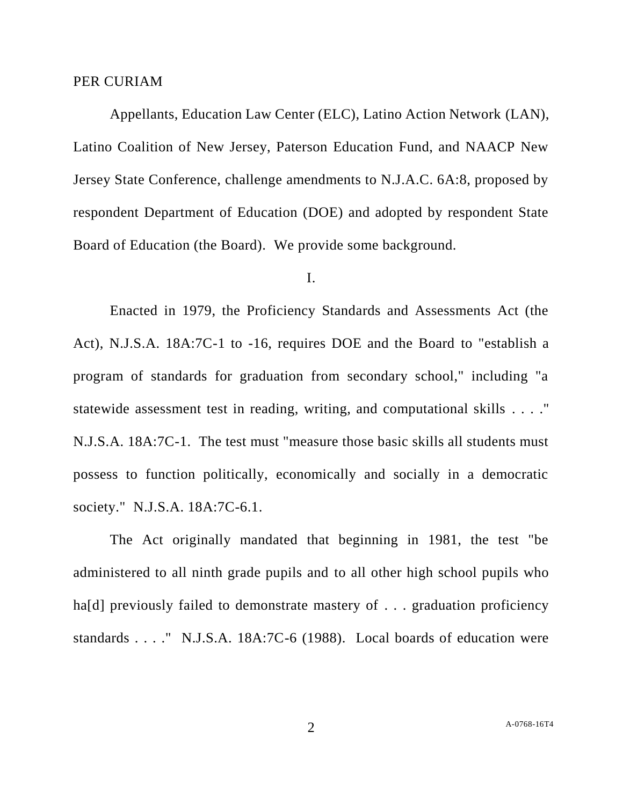### PER CURIAM

Appellants, Education Law Center (ELC), Latino Action Network (LAN), Latino Coalition of New Jersey, Paterson Education Fund, and NAACP New Jersey State Conference, challenge amendments to N.J.A.C. 6A:8, proposed by respondent Department of Education (DOE) and adopted by respondent State Board of Education (the Board). We provide some background.

### I.

Enacted in 1979, the Proficiency Standards and Assessments Act (the Act), N.J.S.A. 18A:7C-1 to -16, requires DOE and the Board to "establish a program of standards for graduation from secondary school," including "a statewide assessment test in reading, writing, and computational skills . . . ." N.J.S.A. 18A:7C-1. The test must "measure those basic skills all students must possess to function politically, economically and socially in a democratic society." N.J.S.A. 18A:7C-6.1.

The Act originally mandated that beginning in 1981, the test "be administered to all ninth grade pupils and to all other high school pupils who ha<sup>[d]</sup> previously failed to demonstrate mastery of . . . graduation proficiency standards . . . ." N.J.S.A. 18A:7C-6 (1988). Local boards of education were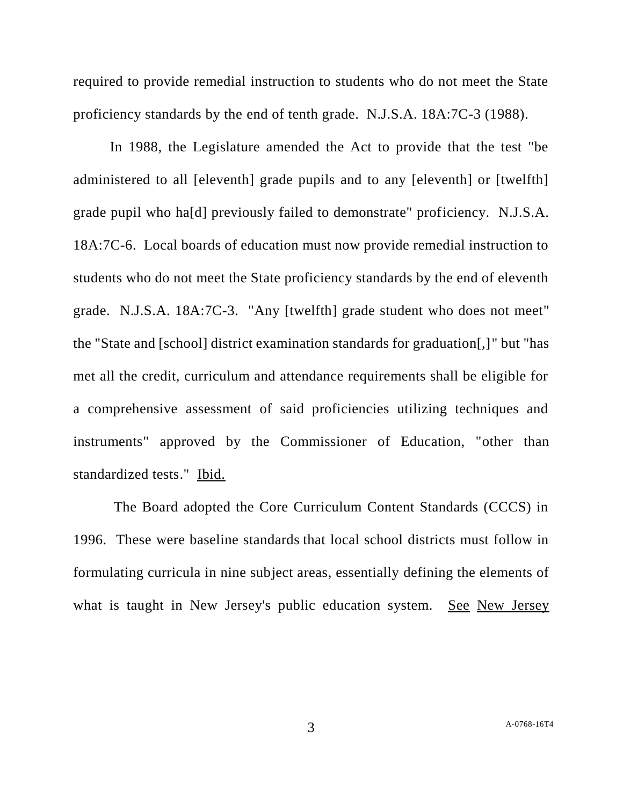required to provide remedial instruction to students who do not meet the State proficiency standards by the end of tenth grade. N.J.S.A. 18A:7C-3 (1988).

In 1988, the Legislature amended the Act to provide that the test "be administered to all [eleventh] grade pupils and to any [eleventh] or [twelfth] grade pupil who ha[d] previously failed to demonstrate" proficiency. N.J.S.A. 18A:7C-6. Local boards of education must now provide remedial instruction to students who do not meet the State proficiency standards by the end of eleventh grade. N.J.S.A. 18A:7C-3. "Any [twelfth] grade student who does not meet" the "State and [school] district examination standards for graduation[,]" but "has met all the credit, curriculum and attendance requirements shall be eligible for a comprehensive assessment of said proficiencies utilizing techniques and instruments" approved by the Commissioner of Education, "other than standardized tests." Ibid.

The Board adopted the Core Curriculum Content Standards (CCCS) in 1996. These were baseline standards that local school districts must follow in formulating curricula in nine subject areas, essentially defining the elements of what is taught in New Jersey's public education system. See New Jersey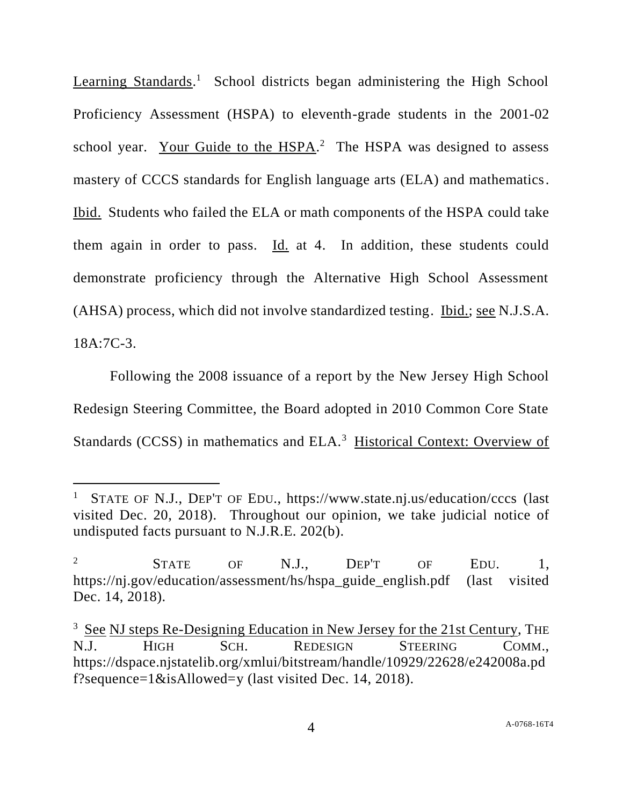Learning Standards.<sup>1</sup> School districts began administering the High School Proficiency Assessment (HSPA) to eleventh-grade students in the 2001-02 school year. Your Guide to the HSPA.<sup>2</sup> The HSPA was designed to assess mastery of CCCS standards for English language arts (ELA) and mathematics. Ibid. Students who failed the ELA or math components of the HSPA could take them again in order to pass. Id. at 4. In addition, these students could demonstrate proficiency through the Alternative High School Assessment (AHSA) process, which did not involve standardized testing. Ibid.; see N.J.S.A. 18A:7C-3.

Following the 2008 issuance of a report by the New Jersey High School Redesign Steering Committee, the Board adopted in 2010 Common Core State Standards (CCSS) in mathematics and ELA.<sup>3</sup> Historical Context: Overview of

 $\overline{a}$ 

<sup>1</sup> STATE OF N.J., DEP'T OF EDU., https://www.state.nj.us/education/cccs (last visited Dec. 20, 2018). Throughout our opinion, we take judicial notice of undisputed facts pursuant to N.J.R.E. 202(b).

 $2 \qquad \qquad$  STATE OF N.J., DEP'T OF EDU. 1, https://nj.gov/education/assessment/hs/hspa\_guide\_english.pdf (last visited Dec. 14, 2018).

<sup>&</sup>lt;sup>3</sup> See NJ steps Re-Designing Education in New Jersey for the 21st Century, THE N.J. HIGH SCH. REDESIGN STEERING COMM., https://dspace.njstatelib.org/xmlui/bitstream/handle/10929/22628/e242008a.pd f?sequence=1&isAllowed=y (last visited Dec. 14, 2018).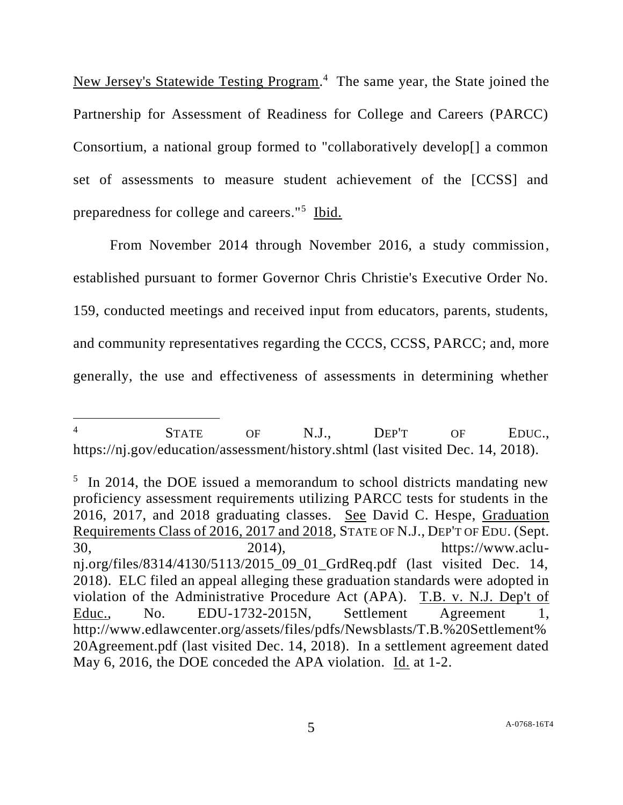New Jersey's Statewide Testing Program.<sup>4</sup> The same year, the State joined the Partnership for Assessment of Readiness for College and Careers (PARCC) Consortium, a national group formed to "collaboratively develop[] a common set of assessments to measure student achievement of the [CCSS] and preparedness for college and careers."<sup>5</sup> Ibid.

From November 2014 through November 2016, a study commission, established pursuant to former Governor Chris Christie's Executive Order No. 159, conducted meetings and received input from educators, parents, students, and community representatives regarding the CCCS, CCSS, PARCC; and, more generally, the use and effectiveness of assessments in determining whether

l

<sup>5</sup> In 2014, the DOE issued a memorandum to school districts mandating new proficiency assessment requirements utilizing PARCC tests for students in the 2016, 2017, and 2018 graduating classes. See David C. Hespe, Graduation Requirements Class of 2016, 2017 and 2018, STATE OF N.J., DEP'T OF EDU. (Sept. 30, 2014), https://www.aclunj.org/files/8314/4130/5113/2015\_09\_01\_GrdReq.pdf (last visited Dec. 14, 2018). ELC filed an appeal alleging these graduation standards were adopted in violation of the Administrative Procedure Act (APA). T.B. v. N.J. Dep't of Educ., No. EDU-1732-2015N, Settlement Agreement 1, http://www.edlawcenter.org/assets/files/pdfs/Newsblasts/T.B.%20Settlement% 20Agreement.pdf (last visited Dec. 14, 2018). In a settlement agreement dated May 6, 2016, the DOE conceded the APA violation. Id. at 1-2.

<sup>&</sup>lt;sup>4</sup> STATE OF N.J., DEP'T OF EDUC., https://nj.gov/education/assessment/history.shtml (last visited Dec. 14, 2018).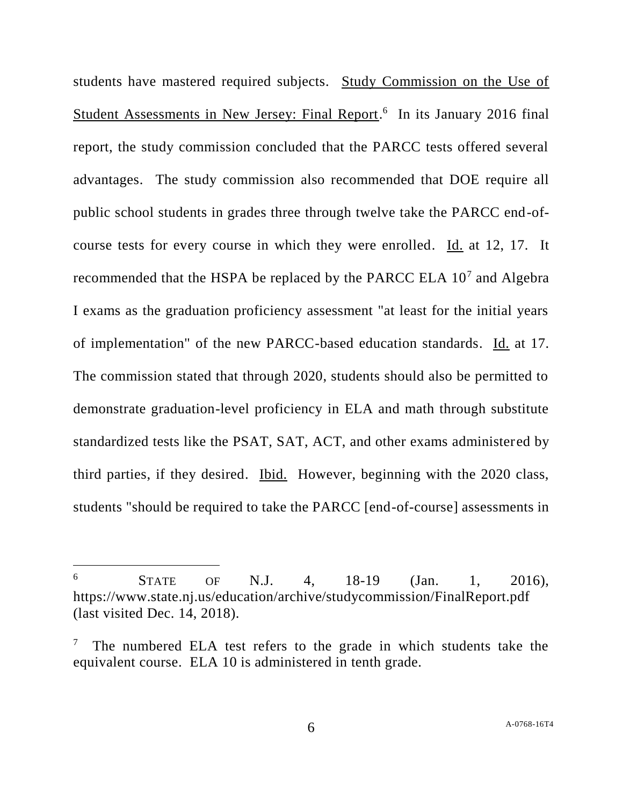students have mastered required subjects. Study Commission on the Use of Student Assessments in New Jersey: Final Report.<sup>6</sup> In its January 2016 final report, the study commission concluded that the PARCC tests offered several advantages. The study commission also recommended that DOE require all public school students in grades three through twelve take the PARCC end-ofcourse tests for every course in which they were enrolled. Id. at 12, 17. It recommended that the HSPA be replaced by the PARCC ELA 10<sup>7</sup> and Algebra I exams as the graduation proficiency assessment "at least for the initial years of implementation" of the new PARCC-based education standards. Id. at 17. The commission stated that through 2020, students should also be permitted to demonstrate graduation-level proficiency in ELA and math through substitute standardized tests like the PSAT, SAT, ACT, and other exams administered by third parties, if they desired. Ibid. However, beginning with the 2020 class, students "should be required to take the PARCC [end-of-course] assessments in

l

 $^{6}$  STATE OF N.J. 4, 18-19 (Jan. 1, 2016), https://www.state.nj.us/education/archive/studycommission/FinalReport.pdf (last visited Dec. 14, 2018).

<sup>7</sup> The numbered ELA test refers to the grade in which students take the equivalent course. ELA 10 is administered in tenth grade.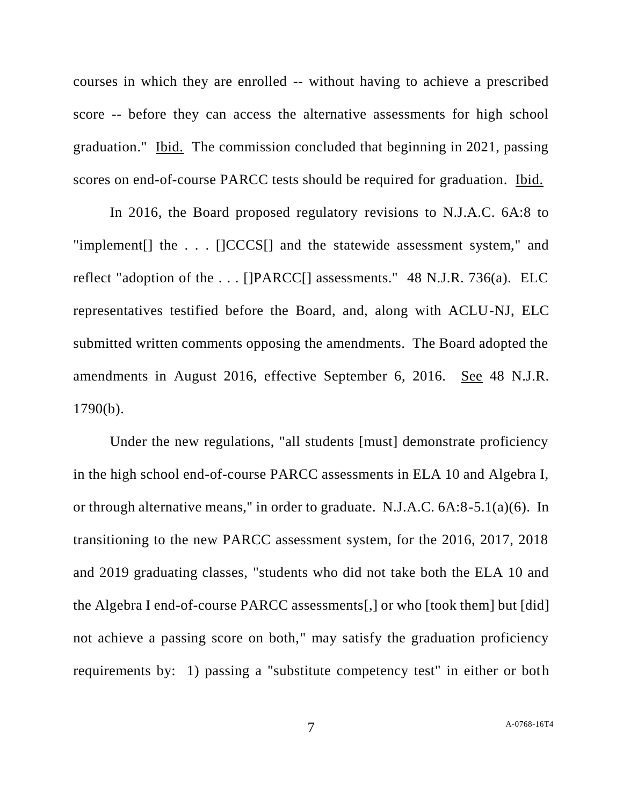courses in which they are enrolled -- without having to achieve a prescribed score -- before they can access the alternative assessments for high school graduation." Ibid. The commission concluded that beginning in 2021, passing scores on end-of-course PARCC tests should be required for graduation. Ibid.

In 2016, the Board proposed regulatory revisions to N.J.A.C. 6A:8 to "implement[] the . . . []CCCS[] and the statewide assessment system," and reflect "adoption of the . . . []PARCC[] assessments." 48 N.J.R. 736(a). ELC representatives testified before the Board, and, along with ACLU-NJ, ELC submitted written comments opposing the amendments. The Board adopted the amendments in August 2016, effective September 6, 2016. See 48 N.J.R. 1790(b).

Under the new regulations, "all students [must] demonstrate proficiency in the high school end-of-course PARCC assessments in ELA 10 and Algebra I, or through alternative means," in order to graduate. N.J.A.C. 6A:8-5.1(a)(6). In transitioning to the new PARCC assessment system, for the 2016, 2017, 2018 and 2019 graduating classes, "students who did not take both the ELA 10 and the Algebra I end-of-course PARCC assessments[,] or who [took them] but [did] not achieve a passing score on both," may satisfy the graduation proficiency requirements by: 1) passing a "substitute competency test" in either or both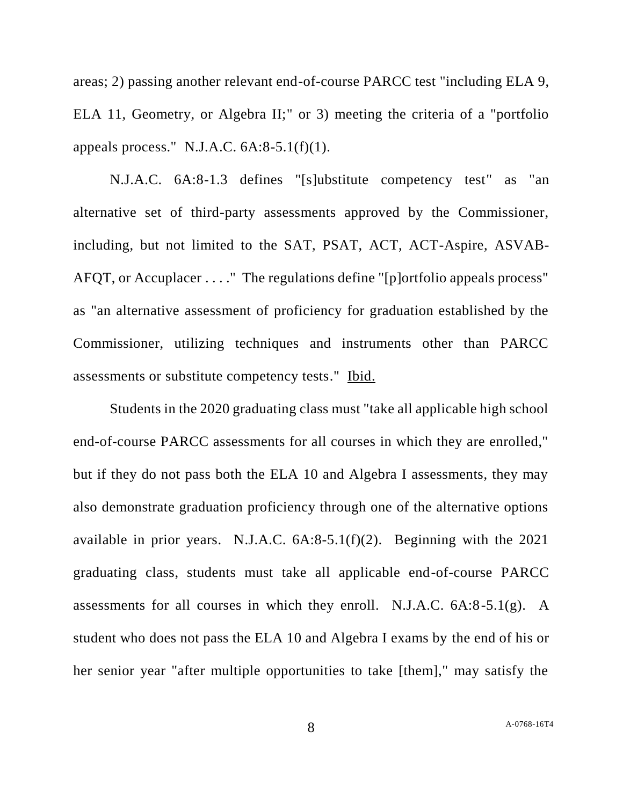areas; 2) passing another relevant end-of-course PARCC test "including ELA 9, ELA 11, Geometry, or Algebra II;" or 3) meeting the criteria of a "portfolio appeals process." N.J.A.C.  $6A:8-5.1(f)(1)$ .

N.J.A.C. 6A:8-1.3 defines "[s]ubstitute competency test" as "an alternative set of third-party assessments approved by the Commissioner, including, but not limited to the SAT, PSAT, ACT, ACT-Aspire, ASVAB-AFQT, or Accuplacer . . . ." The regulations define "[p]ortfolio appeals process" as "an alternative assessment of proficiency for graduation established by the Commissioner, utilizing techniques and instruments other than PARCC assessments or substitute competency tests." Ibid.

Students in the 2020 graduating class must "take all applicable high school end-of-course PARCC assessments for all courses in which they are enrolled," but if they do not pass both the ELA 10 and Algebra I assessments, they may also demonstrate graduation proficiency through one of the alternative options available in prior years. N.J.A.C. 6A:8-5.1(f)(2). Beginning with the 2021 graduating class, students must take all applicable end-of-course PARCC assessments for all courses in which they enroll. N.J.A.C. 6A:8-5.1(g). A student who does not pass the ELA 10 and Algebra I exams by the end of his or her senior year "after multiple opportunities to take [them]," may satisfy the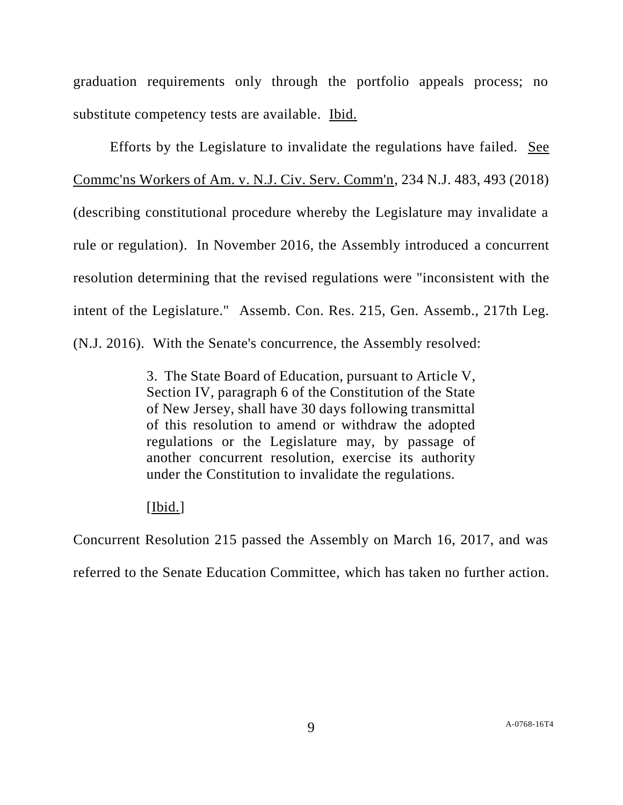graduation requirements only through the portfolio appeals process; no substitute competency tests are available. Ibid.

Efforts by the Legislature to invalidate the regulations have failed. See Commc'ns Workers of Am. v. N.J. Civ. Serv. Comm'n, 234 N.J. 483, 493 (2018) (describing constitutional procedure whereby the Legislature may invalidate a rule or regulation). In November 2016, the Assembly introduced a concurrent resolution determining that the revised regulations were "inconsistent with the intent of the Legislature." Assemb. Con. Res. 215, Gen. Assemb., 217th Leg. (N.J. 2016). With the Senate's concurrence, the Assembly resolved:

> 3. The State Board of Education, pursuant to Article V, Section IV, paragraph 6 of the Constitution of the State of New Jersey, shall have 30 days following transmittal of this resolution to amend or withdraw the adopted regulations or the Legislature may, by passage of another concurrent resolution, exercise its authority under the Constitution to invalidate the regulations.

# [Ibid.]

Concurrent Resolution 215 passed the Assembly on March 16, 2017, and was

referred to the Senate Education Committee, which has taken no further action.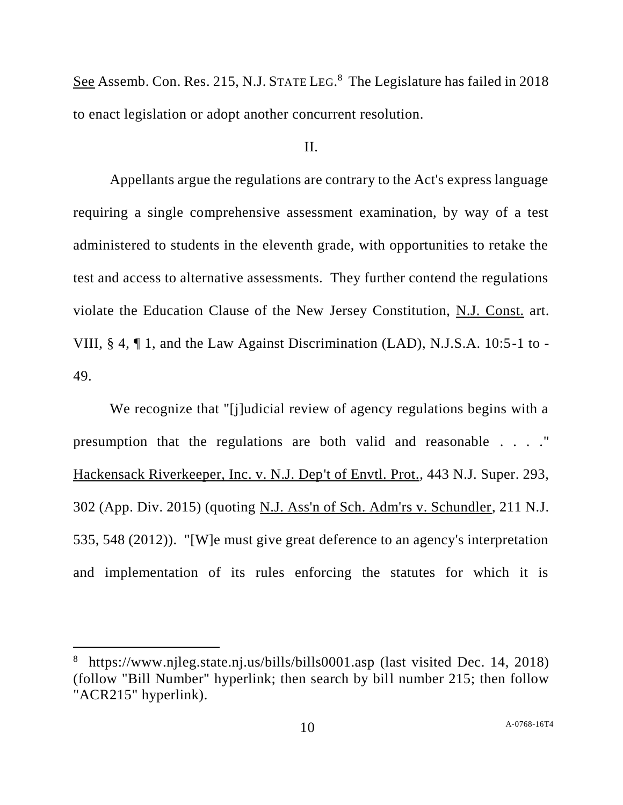See Assemb. Con. Res. 215, N.J. STATE LEG.<sup>8</sup> The Legislature has failed in 2018 to enact legislation or adopt another concurrent resolution.

### II.

Appellants argue the regulations are contrary to the Act's express language requiring a single comprehensive assessment examination, by way of a test administered to students in the eleventh grade, with opportunities to retake the test and access to alternative assessments. They further contend the regulations violate the Education Clause of the New Jersey Constitution, N.J. Const. art. VIII, § 4, ¶ 1, and the Law Against Discrimination (LAD), N.J.S.A. 10:5-1 to - 49.

We recognize that "[j]udicial review of agency regulations begins with a presumption that the regulations are both valid and reasonable . . . ." Hackensack Riverkeeper, Inc. v. N.J. Dep't of Envtl. Prot., 443 N.J. Super. 293, 302 (App. Div. 2015) (quoting N.J. Ass'n of Sch. Adm'rs v. Schundler, 211 N.J. 535, 548 (2012)). "[W]e must give great deference to an agency's interpretation and implementation of its rules enforcing the statutes for which it is

l

<sup>&</sup>lt;sup>8</sup> https://www.njleg.state.nj.us/bills/bills0001.asp (last visited Dec. 14, 2018) (follow "Bill Number" hyperlink; then search by bill number 215; then follow "ACR215" hyperlink).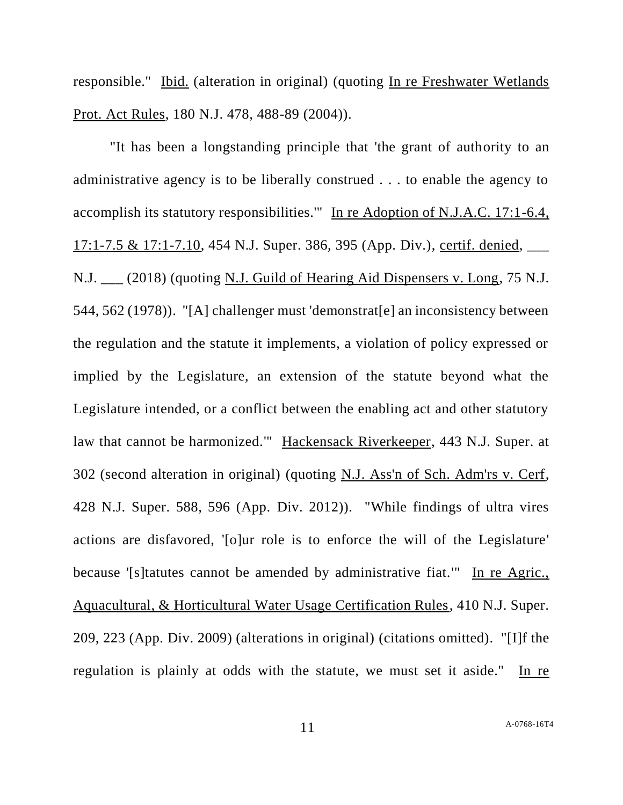responsible." Ibid. (alteration in original) (quoting In re Freshwater Wetlands Prot. Act Rules, 180 N.J. 478, 488-89 (2004)).

"It has been a longstanding principle that 'the grant of authority to an administrative agency is to be liberally construed . . . to enable the agency to accomplish its statutory responsibilities.'" In re Adoption of N.J.A.C. 17:1-6.4, 17:1-7.5 & 17:1-7.10, 454 N.J. Super. 386, 395 (App. Div.), certif. denied, \_\_\_ N.J. \_\_\_ (2018) (quoting N.J. Guild of Hearing Aid Dispensers v. Long, 75 N.J. 544, 562 (1978)). "[A] challenger must 'demonstrat[e] an inconsistency between the regulation and the statute it implements, a violation of policy expressed or implied by the Legislature, an extension of the statute beyond what the Legislature intended, or a conflict between the enabling act and other statutory law that cannot be harmonized.'" Hackensack Riverkeeper, 443 N.J. Super. at 302 (second alteration in original) (quoting N.J. Ass'n of Sch. Adm'rs v. Cerf, 428 N.J. Super. 588, 596 (App. Div. 2012)). "While findings of ultra vires actions are disfavored, '[o]ur role is to enforce the will of the Legislature' because '[s]tatutes cannot be amended by administrative fiat.'" In re Agric., Aquacultural, & Horticultural Water Usage Certification Rules, 410 N.J. Super. 209, 223 (App. Div. 2009) (alterations in original) (citations omitted). "[I]f the regulation is plainly at odds with the statute, we must set it aside." In re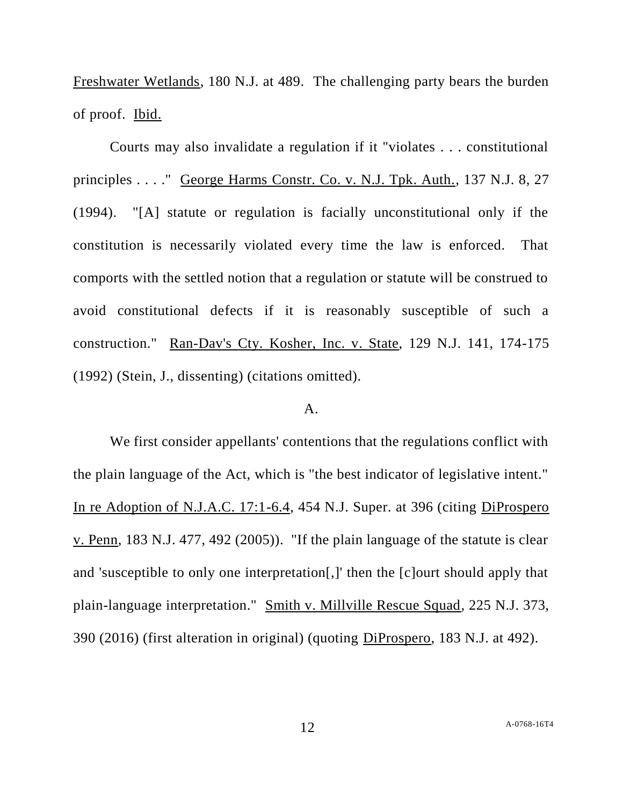Freshwater Wetlands, 180 N.J. at 489. The challenging party bears the burden of proof. Ibid.

Courts may also invalidate a regulation if it "violates . . . constitutional principles . . . ." George Harms Constr. Co. v. N.J. Tpk. Auth., 137 N.J. 8, 27 (1994). "[A] statute or regulation is facially unconstitutional only if the constitution is necessarily violated every time the law is enforced. That comports with the settled notion that a regulation or statute will be construed to avoid constitutional defects if it is reasonably susceptible of such a construction." Ran-Dav's Cty. Kosher, Inc. v. State, 129 N.J. 141, 174-175 (1992) (Stein, J., dissenting) (citations omitted).

## A.

We first consider appellants' contentions that the regulations conflict with the plain language of the Act, which is "the best indicator of legislative intent." In re Adoption of N.J.A.C. 17:1-6.4, 454 N.J. Super. at 396 (citing DiProspero v. Penn, 183 N.J. 477, 492 (2005)). "If the plain language of the statute is clear and 'susceptible to only one interpretation[,]' then the [c]ourt should apply that plain-language interpretation." Smith v. Millville Rescue Squad, 225 N.J. 373, 390 (2016) (first alteration in original) (quoting DiProspero, 183 N.J. at 492).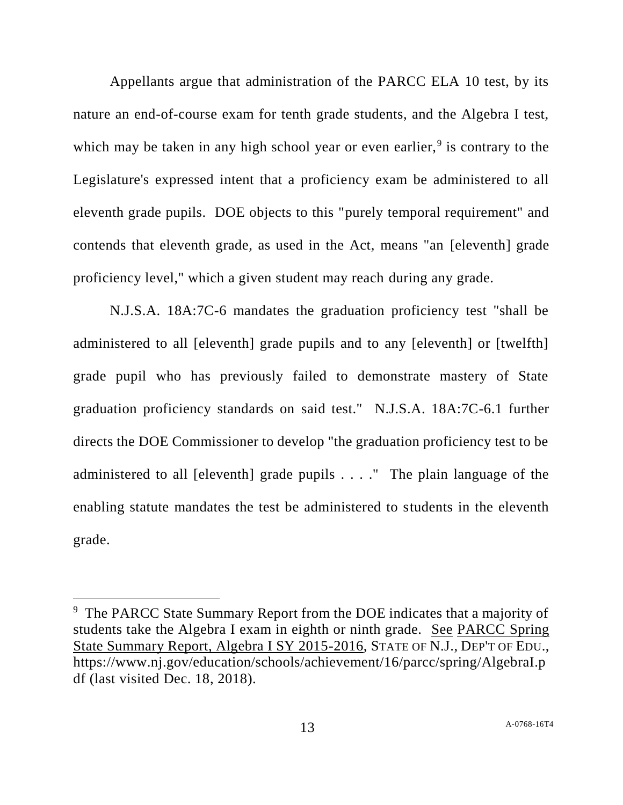Appellants argue that administration of the PARCC ELA 10 test, by its nature an end-of-course exam for tenth grade students, and the Algebra I test, which may be taken in any high school year or even earlier,  $9$  is contrary to the Legislature's expressed intent that a proficiency exam be administered to all eleventh grade pupils. DOE objects to this "purely temporal requirement" and contends that eleventh grade, as used in the Act, means "an [eleventh] grade proficiency level," which a given student may reach during any grade.

N.J.S.A. 18A:7C-6 mandates the graduation proficiency test "shall be administered to all [eleventh] grade pupils and to any [eleventh] or [twelfth] grade pupil who has previously failed to demonstrate mastery of State graduation proficiency standards on said test." N.J.S.A. 18A:7C-6.1 further directs the DOE Commissioner to develop "the graduation proficiency test to be administered to all [eleventh] grade pupils . . . ." The plain language of the enabling statute mandates the test be administered to students in the eleventh grade.

l

<sup>&</sup>lt;sup>9</sup> The PARCC State Summary Report from the DOE indicates that a majority of students take the Algebra I exam in eighth or ninth grade. See PARCC Spring State Summary Report, Algebra I SY 2015-2016, STATE OF N.J., DEP'T OF EDU., https://www.nj.gov/education/schools/achievement/16/parcc/spring/AlgebraI.p df (last visited Dec. 18, 2018).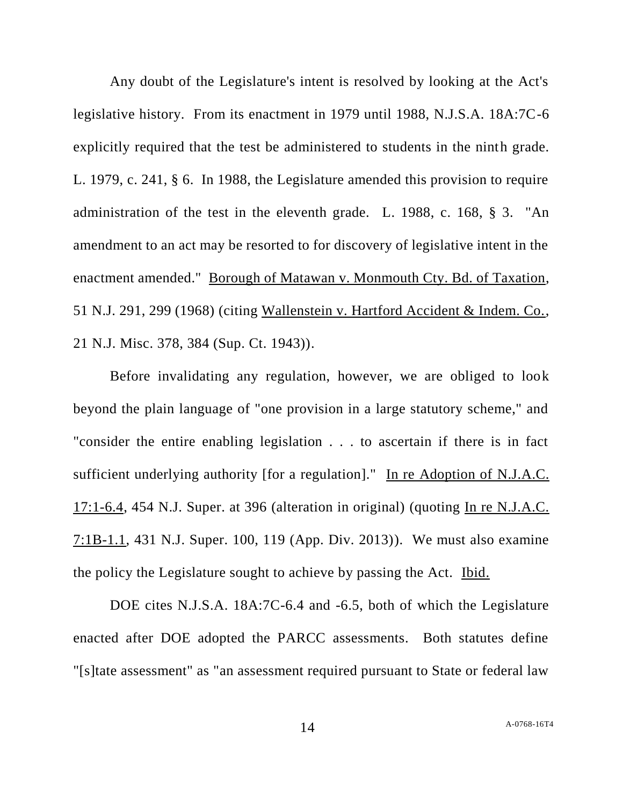Any doubt of the Legislature's intent is resolved by looking at the Act's legislative history. From its enactment in 1979 until 1988, N.J.S.A. 18A:7C-6 explicitly required that the test be administered to students in the ninth grade. L. 1979, c. 241, § 6. In 1988, the Legislature amended this provision to require administration of the test in the eleventh grade. L. 1988, c. 168, § 3. "An amendment to an act may be resorted to for discovery of legislative intent in the enactment amended." Borough of Matawan v. Monmouth Cty. Bd. of Taxation, 51 N.J. 291, 299 (1968) (citing Wallenstein v. Hartford Accident & Indem. Co., 21 N.J. Misc. 378, 384 (Sup. Ct. 1943)).

Before invalidating any regulation, however, we are obliged to look beyond the plain language of "one provision in a large statutory scheme," and "consider the entire enabling legislation . . . to ascertain if there is in fact sufficient underlying authority [for a regulation]." In re Adoption of N.J.A.C. 17:1-6.4, 454 N.J. Super. at 396 (alteration in original) (quoting In re N.J.A.C. 7:1B-1.1, 431 N.J. Super. 100, 119 (App. Div. 2013)). We must also examine the policy the Legislature sought to achieve by passing the Act. Ibid.

DOE cites N.J.S.A. 18A:7C-6.4 and -6.5, both of which the Legislature enacted after DOE adopted the PARCC assessments. Both statutes define "[s]tate assessment" as "an assessment required pursuant to State or federal law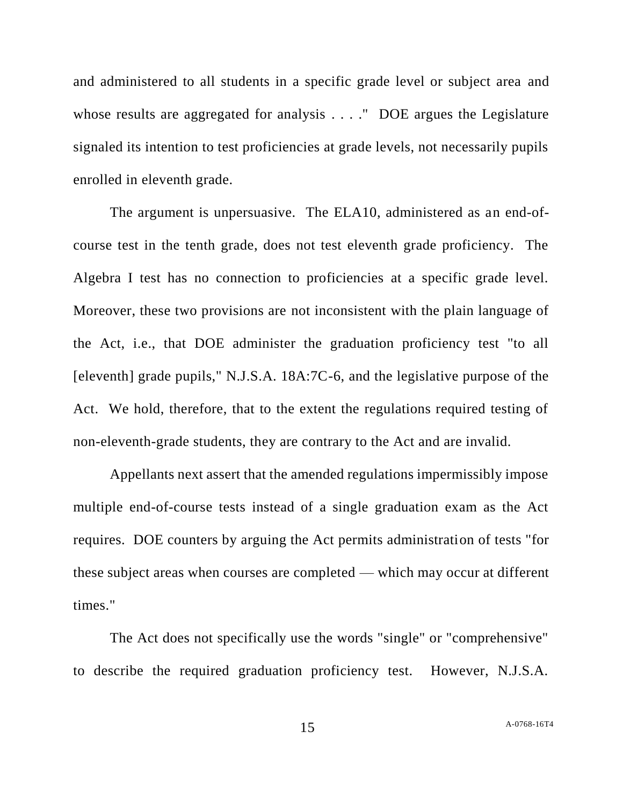and administered to all students in a specific grade level or subject area and whose results are aggregated for analysis . . . . " DOE argues the Legislature signaled its intention to test proficiencies at grade levels, not necessarily pupils enrolled in eleventh grade.

The argument is unpersuasive. The ELA10, administered as an end-ofcourse test in the tenth grade, does not test eleventh grade proficiency. The Algebra I test has no connection to proficiencies at a specific grade level. Moreover, these two provisions are not inconsistent with the plain language of the Act, i.e., that DOE administer the graduation proficiency test "to all [eleventh] grade pupils," N.J.S.A. 18A:7C-6, and the legislative purpose of the Act. We hold, therefore, that to the extent the regulations required testing of non-eleventh-grade students, they are contrary to the Act and are invalid.

Appellants next assert that the amended regulations impermissibly impose multiple end-of-course tests instead of a single graduation exam as the Act requires. DOE counters by arguing the Act permits administration of tests "for these subject areas when courses are completed — which may occur at different times."

The Act does not specifically use the words "single" or "comprehensive" to describe the required graduation proficiency test. However, N.J.S.A.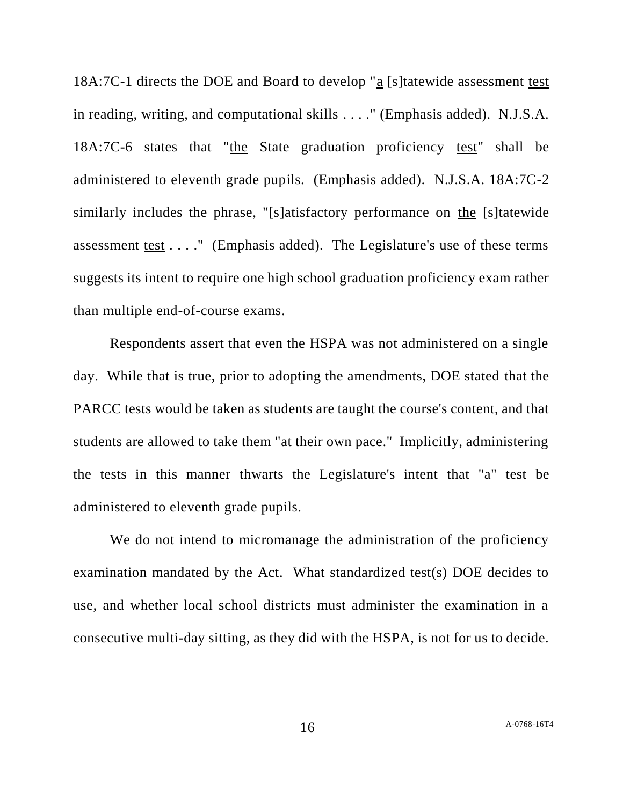18A:7C-1 directs the DOE and Board to develop "a [s]tatewide assessment test in reading, writing, and computational skills . . . ." (Emphasis added). N.J.S.A. 18A:7C-6 states that "the State graduation proficiency test" shall be administered to eleventh grade pupils. (Emphasis added). N.J.S.A. 18A:7C-2 similarly includes the phrase, "[s]atisfactory performance on the [s]tatewide assessment test . . . ." (Emphasis added). The Legislature's use of these terms suggests its intent to require one high school graduation proficiency exam rather than multiple end-of-course exams.

Respondents assert that even the HSPA was not administered on a single day. While that is true, prior to adopting the amendments, DOE stated that the PARCC tests would be taken as students are taught the course's content, and that students are allowed to take them "at their own pace." Implicitly, administering the tests in this manner thwarts the Legislature's intent that "a" test be administered to eleventh grade pupils.

We do not intend to micromanage the administration of the proficiency examination mandated by the Act. What standardized test(s) DOE decides to use, and whether local school districts must administer the examination in a consecutive multi-day sitting, as they did with the HSPA, is not for us to decide.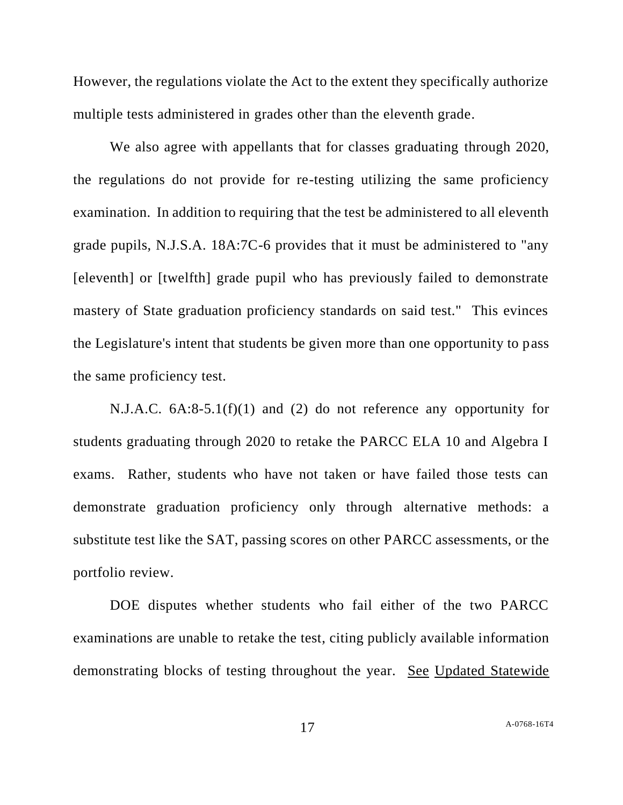However, the regulations violate the Act to the extent they specifically authorize multiple tests administered in grades other than the eleventh grade.

We also agree with appellants that for classes graduating through 2020, the regulations do not provide for re-testing utilizing the same proficiency examination. In addition to requiring that the test be administered to all eleventh grade pupils, N.J.S.A. 18A:7C-6 provides that it must be administered to "any [eleventh] or [twelfth] grade pupil who has previously failed to demonstrate mastery of State graduation proficiency standards on said test." This evinces the Legislature's intent that students be given more than one opportunity to pass the same proficiency test.

N.J.A.C. 6A:8-5.1(f)(1) and (2) do not reference any opportunity for students graduating through 2020 to retake the PARCC ELA 10 and Algebra I exams. Rather, students who have not taken or have failed those tests can demonstrate graduation proficiency only through alternative methods: a substitute test like the SAT, passing scores on other PARCC assessments, or the portfolio review.

DOE disputes whether students who fail either of the two PARCC examinations are unable to retake the test, citing publicly available information demonstrating blocks of testing throughout the year. See Updated Statewide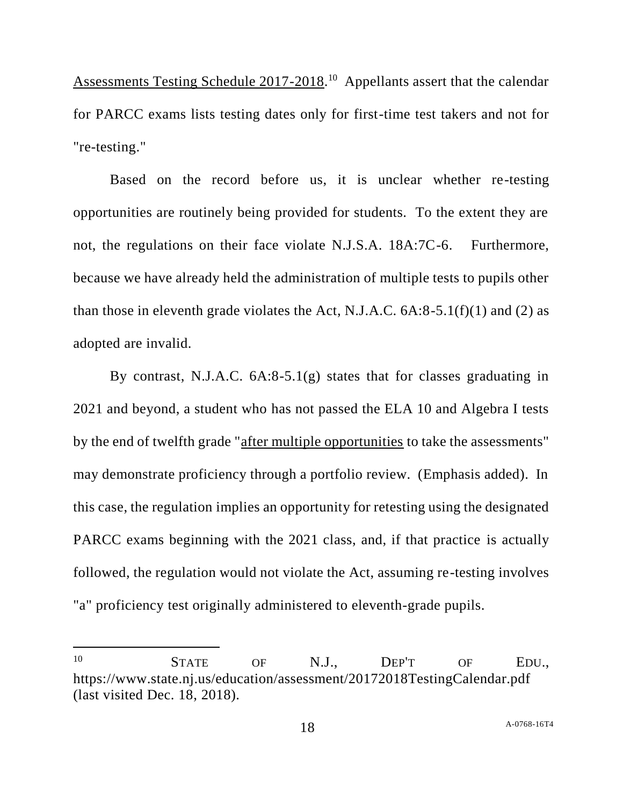Assessments Testing Schedule 2017-2018.<sup>10</sup> Appellants assert that the calendar for PARCC exams lists testing dates only for first-time test takers and not for "re-testing."

Based on the record before us, it is unclear whether re-testing opportunities are routinely being provided for students. To the extent they are not, the regulations on their face violate N.J.S.A. 18A:7C-6. Furthermore, because we have already held the administration of multiple tests to pupils other than those in eleventh grade violates the Act, N.J.A.C.  $6A:8-5.1(f)(1)$  and (2) as adopted are invalid.

By contrast, N.J.A.C. 6A:8-5.1(g) states that for classes graduating in 2021 and beyond, a student who has not passed the ELA 10 and Algebra I tests by the end of twelfth grade "after multiple opportunities to take the assessments" may demonstrate proficiency through a portfolio review. (Emphasis added). In this case, the regulation implies an opportunity for retesting using the designated PARCC exams beginning with the 2021 class, and, if that practice is actually followed, the regulation would not violate the Act, assuming re-testing involves "a" proficiency test originally administered to eleventh-grade pupils.

l

<sup>10</sup> **STATE** OF N.J., **DEP'T** OF EDU., https://www.state.nj.us/education/assessment/20172018TestingCalendar.pdf (last visited Dec. 18, 2018).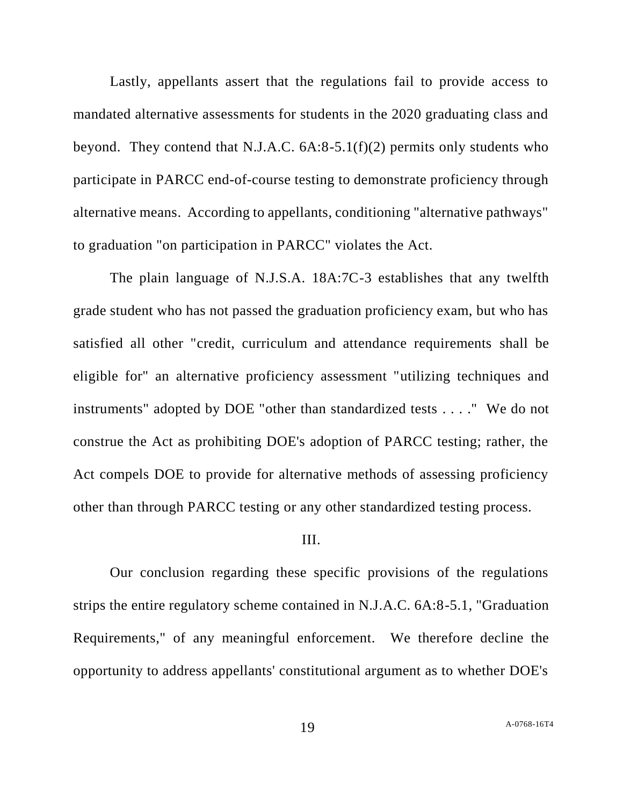Lastly, appellants assert that the regulations fail to provide access to mandated alternative assessments for students in the 2020 graduating class and beyond. They contend that N.J.A.C.  $6A:8-5.1(f)(2)$  permits only students who participate in PARCC end-of-course testing to demonstrate proficiency through alternative means. According to appellants, conditioning "alternative pathways" to graduation "on participation in PARCC" violates the Act.

The plain language of N.J.S.A. 18A:7C-3 establishes that any twelfth grade student who has not passed the graduation proficiency exam, but who has satisfied all other "credit, curriculum and attendance requirements shall be eligible for" an alternative proficiency assessment "utilizing techniques and instruments" adopted by DOE "other than standardized tests . . . ." We do not construe the Act as prohibiting DOE's adoption of PARCC testing; rather, the Act compels DOE to provide for alternative methods of assessing proficiency other than through PARCC testing or any other standardized testing process.

### III.

Our conclusion regarding these specific provisions of the regulations strips the entire regulatory scheme contained in N.J.A.C. 6A:8-5.1, "Graduation Requirements," of any meaningful enforcement. We therefore decline the opportunity to address appellants' constitutional argument as to whether DOE's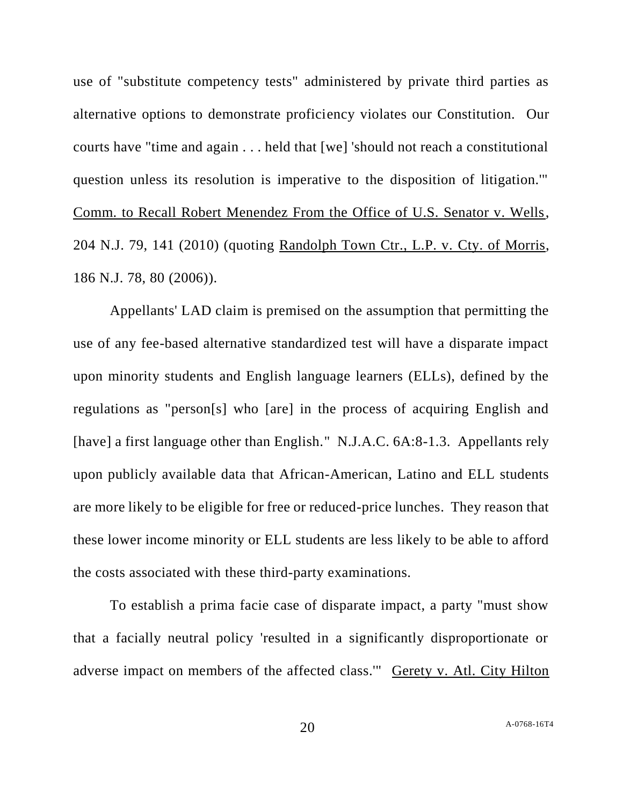use of "substitute competency tests" administered by private third parties as alternative options to demonstrate proficiency violates our Constitution. Our courts have "time and again . . . held that [we] 'should not reach a constitutional question unless its resolution is imperative to the disposition of litigation.'" Comm. to Recall Robert Menendez From the Office of U.S. Senator v. Wells, 204 N.J. 79, 141 (2010) (quoting Randolph Town Ctr., L.P. v. Cty. of Morris, 186 N.J. 78, 80 (2006)).

Appellants' LAD claim is premised on the assumption that permitting the use of any fee-based alternative standardized test will have a disparate impact upon minority students and English language learners (ELLs), defined by the regulations as "person[s] who [are] in the process of acquiring English and [have] a first language other than English." N.J.A.C. 6A:8-1.3. Appellants rely upon publicly available data that African-American, Latino and ELL students are more likely to be eligible for free or reduced-price lunches. They reason that these lower income minority or ELL students are less likely to be able to afford the costs associated with these third-party examinations.

To establish a prima facie case of disparate impact, a party "must show that a facially neutral policy 'resulted in a significantly disproportionate or adverse impact on members of the affected class.'" Gerety v. Atl. City Hilton